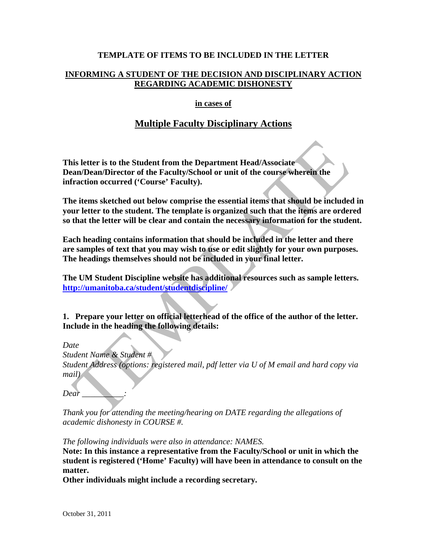#### **TEMPLATE OF ITEMS TO BE INCLUDED IN THE LETTER**

## **INFORMING A STUDENT OF THE DECISION AND DISCIPLINARY ACTION REGARDING ACADEMIC DISHONESTY**

#### **in cases of**

# **Multiple Faculty Disciplinary Actions**

**This letter is to the Student from the Department Head/Associate Dean/Dean/Director of the Faculty/School or unit of the course wherein the infraction occurred ('Course' Faculty).** 

**The items sketched out below comprise the essential items that should be included in your letter to the student. The template is organized such that the items are ordered so that the letter will be clear and contain the necessary information for the student.** 

**Each heading contains information that should be included in the letter and there are samples of text that you may wish to use or edit slightly for your own purposes. The headings themselves should not be included in your final letter.** 

**The UM Student Discipline website has additional resources such as sample letters. http://umanitoba.ca/student/studentdiscipline/**

**1. Prepare your letter on official letterhead of the office of the author of the letter. Include in the heading the following details:** 

*Date* 

*Student Name & Student # Student Address (options: registered mail, pdf letter via U of M email and hard copy via mail)* 

*Dear \_\_\_\_\_\_\_\_\_\_:* 

*Thank you for attending the meeting/hearing on DATE regarding the allegations of academic dishonesty in COURSE #.* 

*The following individuals were also in attendance: NAMES.* 

**Note: In this instance a representative from the Faculty/School or unit in which the student is registered ('Home' Faculty) will have been in attendance to consult on the matter.** 

**Other individuals might include a recording secretary.**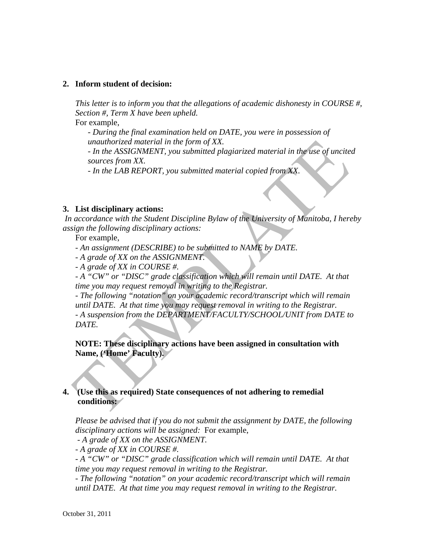#### **2. Inform student of decision:**

*This letter is to inform you that the allegations of academic dishonesty in COURSE #, Section #, Term X have been upheld.* 

For example,

*- During the final examination held on DATE, you were in possession of unauthorized material in the form of XX.* 

*- In the ASSIGNMENT, you submitted plagiarized material in the use of uncited sources from XX.* 

*- In the LAB REPORT, you submitted material copied from XX.*

#### **3. List disciplinary actions:**

*In accordance with the Student Discipline Bylaw of the University of Manitoba, I hereby assign the following disciplinary actions:*

For example,

- *An assignment (DESCRIBE) to be submitted to NAME by DATE.*
- *A grade of XX on the ASSIGNMENT.*
- *A grade of XX in COURSE #.*

- A "CW" or "DISC" grade classification which will remain until DATE. At that *time you may request removal in writing to the Registrar.* 

*- The following "notation" on your academic record/transcript which will remain until DATE. At that time you may request removal in writing to the Registrar. - A suspension from the DEPARTMENT/FACULTY/SCHOOL/UNIT from DATE to DATE.* 

**NOTE: These disciplinary actions have been assigned in consultation with Name, ('Home' Faculty).** 

#### **4. (Use this as required) State consequences of not adhering to remedial conditions:**

*Please be advised that if you do not submit the assignment by DATE, the following disciplinary actions will be assigned:* For example,

 *- A grade of XX on the ASSIGNMENT.* 

*- A grade of XX in COURSE #.* 

*- A "CW" or "DISC" grade classification which will remain until DATE. At that time you may request removal in writing to the Registrar.* 

*- The following "notation" on your academic record/transcript which will remain until DATE. At that time you may request removal in writing to the Registrar.*